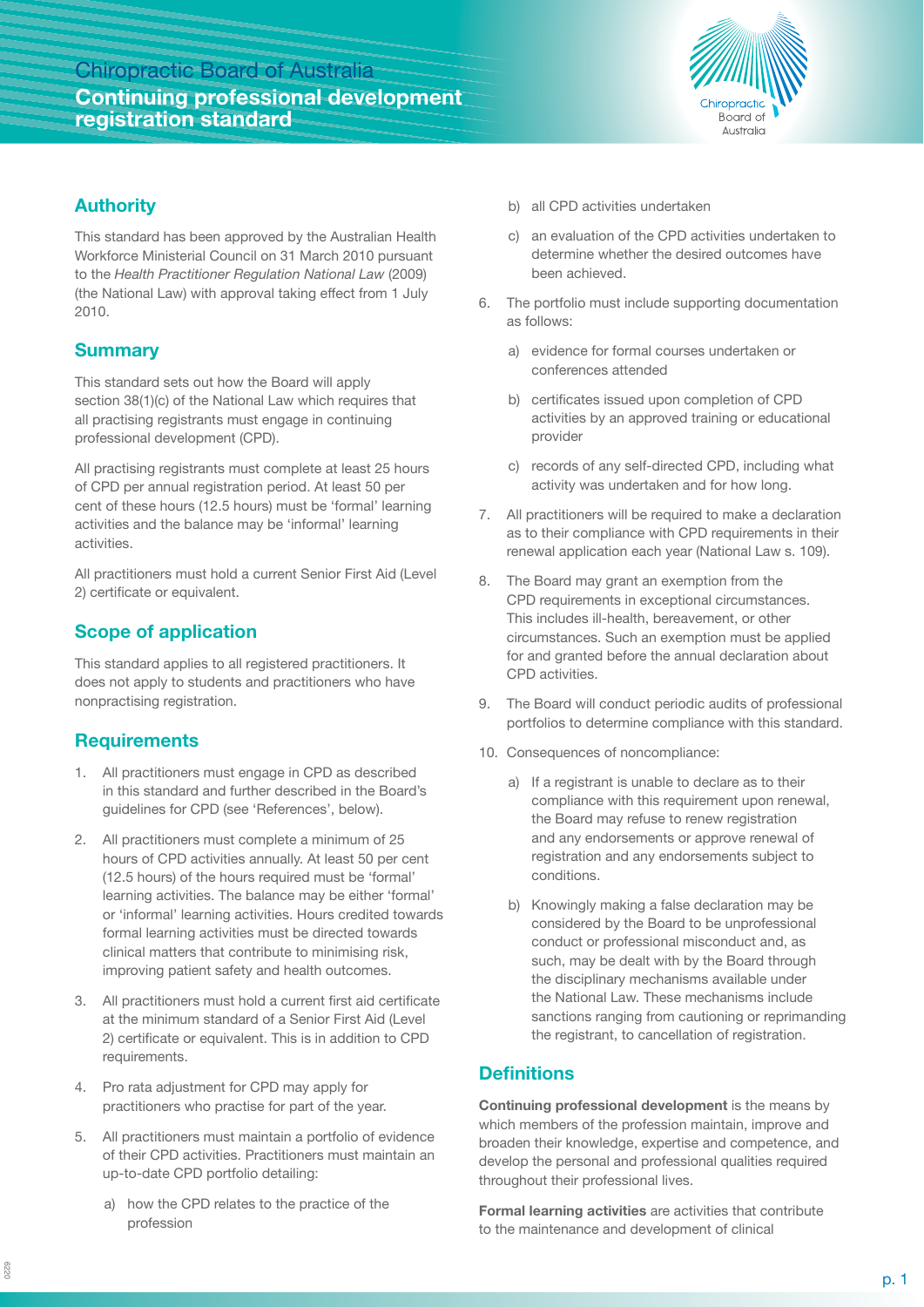## Chiropractic Board of Australia **Continuing professional development registration standard**



#### **Authority**

This standard has been approved by the Australian Health Workforce Ministerial Council on 31 March 2010 pursuant to the *Health Practitioner Regulation National Law* (2009) (the National Law) with approval taking effect from 1 July 2010.

## **Summary**

This standard sets out how the Board will apply section 38(1)(c) of the National Law which requires that all practising registrants must engage in continuing professional development (CPD).

All practising registrants must complete at least 25 hours of CPD per annual registration period. At least 50 per cent of these hours (12.5 hours) must be 'formal' learning activities and the balance may be 'informal' learning activities.

All practitioners must hold a current Senior First Aid (Level 2) certificate or equivalent.

## **Scope of application**

This standard applies to all registered practitioners. It does not apply to students and practitioners who have nonpractising registration.

## **Requirements**

- 1. All practitioners must engage in CPD as described in this standard and further described in the Board's guidelines for CPD (see 'References', below).
- 2. All practitioners must complete a minimum of 25 hours of CPD activities annually. At least 50 per cent (12.5 hours) of the hours required must be 'formal' learning activities. The balance may be either 'formal' or 'informal' learning activities. Hours credited towards formal learning activities must be directed towards clinical matters that contribute to minimising risk, improving patient safety and health outcomes.
- 3. All practitioners must hold a current first aid certificate at the minimum standard of a Senior First Aid (Level 2) certificate or equivalent. This is in addition to CPD requirements.
- 4. Pro rata adjustment for CPD may apply for practitioners who practise for part of the year.
- 5. All practitioners must maintain a portfolio of evidence of their CPD activities. Practitioners must maintain an up-to-date CPD portfolio detailing:
	- a) how the CPD relates to the practice of the profession
- b) all CPD activities undertaken
- c) an evaluation of the CPD activities undertaken to determine whether the desired outcomes have been achieved.
- 6. The portfolio must include supporting documentation as follows:
	- a) evidence for formal courses undertaken or conferences attended
	- b) certificates issued upon completion of CPD activities by an approved training or educational provider
	- c) records of any self-directed CPD, including what activity was undertaken and for how long.
- 7. All practitioners will be required to make a declaration as to their compliance with CPD requirements in their renewal application each year (National Law s. 109).
- 8. The Board may grant an exemption from the CPD requirements in exceptional circumstances. This includes ill-health, bereavement, or other circumstances. Such an exemption must be applied for and granted before the annual declaration about CPD activities.
- 9. The Board will conduct periodic audits of professional portfolios to determine compliance with this standard.
- 10. Consequences of noncompliance:
	- a) If a registrant is unable to declare as to their compliance with this requirement upon renewal, the Board may refuse to renew registration and any endorsements or approve renewal of registration and any endorsements subject to conditions.
	- b) Knowingly making a false declaration may be considered by the Board to be unprofessional conduct or professional misconduct and, as such, may be dealt with by the Board through the disciplinary mechanisms available under the National Law. These mechanisms include sanctions ranging from cautioning or reprimanding the registrant, to cancellation of registration.

## **Definitions**

**Continuing professional development** is the means by which members of the profession maintain, improve and broaden their knowledge, expertise and competence, and develop the personal and professional qualities required throughout their professional lives.

**Formal learning activities** are activities that contribute to the maintenance and development of clinical